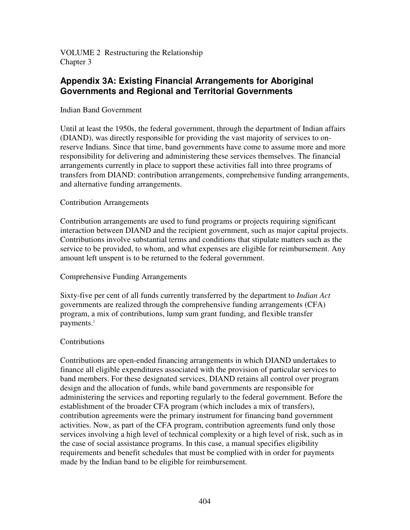VOLUME 2 Restructuring the Relationship Chapter 3

# **Appendix 3A: Existing Financial Arrangements for Aboriginal Governments and Regional and Territorial Governments**

#### Indian Band Government

Until at least the 1950s, the federal government, through the department of Indian affairs (DIAND), was directly responsible for providing the vast majority of services to onreserve Indians. Since that time, band governments have come to assume more and more responsibility for delivering and administering these services themselves. The financial arrangements currently in place to support these activities fall into three programs of transfers from DIAND: contribution arrangements, comprehensive funding arrangements, and alternative funding arrangements.

#### Contribution Arrangements

Contribution arrangements are used to fund programs or projects requiring significant interaction between DIAND and the recipient government, such as major capital projects. Contributions involve substantial terms and conditions that stipulate matters such as the service to be provided, to whom, and what expenses are eligible for reimbursement. Any amount left unspent is to be returned to the federal government.

#### Comprehensive Funding Arrangements

Sixty-five per cent of all funds currently transferred by the department to *Indian Act* governments are realized through the comprehensive funding arrangements (CFA) program, a mix of contributions, lump sum grant funding, and flexible transfer payments. 1

#### **Contributions**

Contributions are open-ended financing arrangements in which DIAND undertakes to finance all eligible expenditures associated with the provision of particular services to band members. For these designated services, DIAND retains all control over program design and the allocation of funds, while band governments are responsible for administering the services and reporting regularly to the federal government. Before the establishment of the broader CFA program (which includes a mix of transfers), contribution agreements were the primary instrument for financing band government activities. Now, as part of the CFA program, contribution agreements fund only those services involving a high level of technical complexity or a high level of risk, such as in the case of social assistance programs. In this case, a manual specifies eligibility requirements and benefit schedules that must be complied with in order for payments made by the Indian band to be eligible for reimbursement.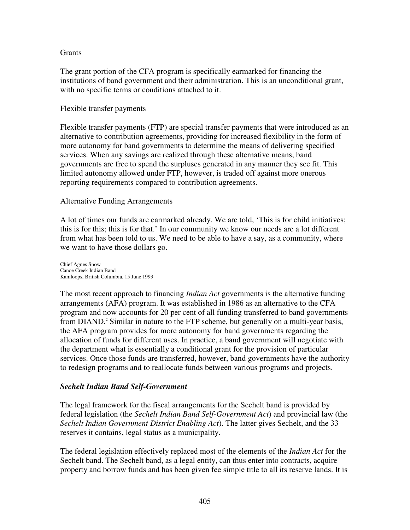#### **Grants**

The grant portion of the CFA program is specifically earmarked for financing the institutions of band government and their administration. This is an unconditional grant, with no specific terms or conditions attached to it.

#### Flexible transfer payments

Flexible transfer payments (FTP) are special transfer payments that were introduced as an alternative to contribution agreements, providing for increased flexibility in the form of more autonomy for band governments to determine the means of delivering specified services. When any savings are realized through these alternative means, band governments are free to spend the surpluses generated in any manner they see fit. This limited autonomy allowed under FTP, however, is traded off against more onerous reporting requirements compared to contribution agreements.

#### Alternative Funding Arrangements

A lot of times our funds are earmarked already. We are told, 'This is for child initiatives; this is for this; this is for that.' In our community we know our needs are a lot different from what has been told to us. We need to be able to have a say, as a community, where we want to have those dollars go.

Chief Agnes Snow Canoe Creek Indian Band Kamloops, British Columbia, 15 June 1993

The most recent approach to financing *Indian Act* governments is the alternative funding arrangements (AFA) program. It was established in 1986 as an alternative to the CFA program and now accounts for 20 per cent of all funding transferred to band governments from DIAND. <sup>2</sup> Similar in nature to the FTP scheme, but generally on a multi-year basis, the AFA program provides for more autonomy for band governments regarding the allocation of funds for different uses. In practice, a band government will negotiate with the department what is essentially a conditional grant for the provision of particular services. Once those funds are transferred, however, band governments have the authority to redesign programs and to reallocate funds between various programs and projects.

## *Sechelt Indian Band Self-Government*

The legal framework for the fiscal arrangements for the Sechelt band is provided by federal legislation (the *Sechelt Indian Band Self-Government Act*) and provincial law (the *Sechelt Indian Government District Enabling Act*). The latter gives Sechelt, and the 33 reserves it contains, legal status as a municipality.

The federal legislation effectively replaced most of the elements of the *Indian Act* for the Sechelt band. The Sechelt band, as a legal entity, can thus enter into contracts, acquire property and borrow funds and has been given fee simple title to all its reserve lands. It is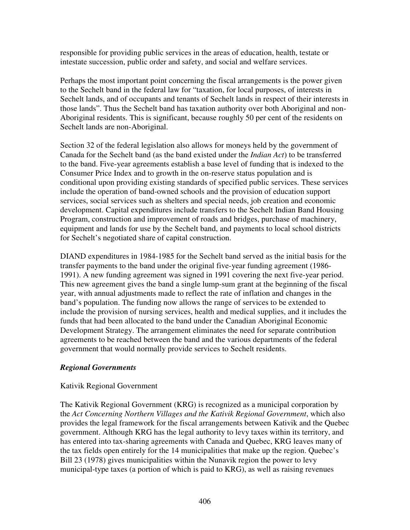responsible for providing public services in the areas of education, health, testate or intestate succession, public order and safety, and social and welfare services.

Perhaps the most important point concerning the fiscal arrangements is the power given to the Sechelt band in the federal law for "taxation, for local purposes, of interests in Sechelt lands, and of occupants and tenants of Sechelt lands in respect of their interests in those lands". Thus the Sechelt band has taxation authority over both Aboriginal and non-Aboriginal residents. This is significant, because roughly 50 per cent of the residents on Sechelt lands are non-Aboriginal.

Section 32 of the federal legislation also allows for moneys held by the government of Canada for the Sechelt band (as the band existed under the *Indian Act*) to be transferred to the band. Five-year agreements establish a base level of funding that is indexed to the Consumer Price Index and to growth in the on-reserve status population and is conditional upon providing existing standards of specified public services. These services include the operation of band-owned schools and the provision of education support services, social services such as shelters and special needs, job creation and economic development. Capital expenditures include transfers to the Sechelt Indian Band Housing Program, construction and improvement of roads and bridges, purchase of machinery, equipment and lands for use by the Sechelt band, and payments to local school districts for Sechelt's negotiated share of capital construction.

DIAND expenditures in 1984-1985 for the Sechelt band served as the initial basis for the transfer payments to the band under the original five-year funding agreement (1986- 1991). A new funding agreement was signed in 1991 covering the next five-year period. This new agreement gives the band a single lump-sum grant at the beginning of the fiscal year, with annual adjustments made to reflect the rate of inflation and changes in the band's population. The funding now allows the range of services to be extended to include the provision of nursing services, health and medical supplies, and it includes the funds that had been allocated to the band under the Canadian Aboriginal Economic Development Strategy. The arrangement eliminates the need for separate contribution agreements to be reached between the band and the various departments of the federal government that would normally provide services to Sechelt residents.

## *Regional Governments*

## Kativik Regional Government

The Kativik Regional Government (KRG) is recognized as a municipal corporation by the *Act Concerning Northern Villages and the Kativik Regional Government*, which also provides the legal framework for the fiscal arrangements between Kativik and the Quebec government. Although KRG has the legal authority to levy taxes within its territory, and has entered into tax-sharing agreements with Canada and Quebec, KRG leaves many of the tax fields open entirely for the 14 municipalities that make up the region. Quebec's Bill 23 (1978) gives municipalities within the Nunavik region the power to levy municipal-type taxes (a portion of which is paid to KRG), as well as raising revenues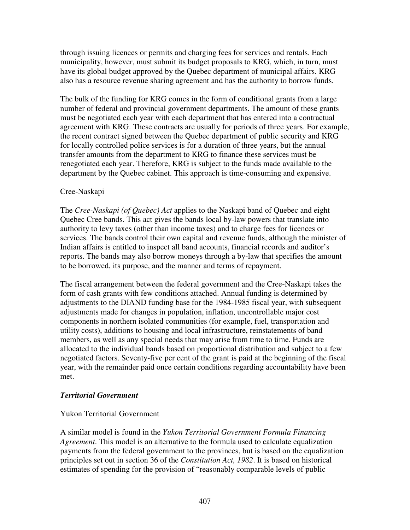through issuing licences or permits and charging fees for services and rentals. Each municipality, however, must submit its budget proposals to KRG, which, in turn, must have its global budget approved by the Quebec department of municipal affairs. KRG also has a resource revenue sharing agreement and has the authority to borrow funds.

The bulk of the funding for KRG comes in the form of conditional grants from a large number of federal and provincial government departments. The amount of these grants must be negotiated each year with each department that has entered into a contractual agreement with KRG. These contracts are usually for periods of three years. For example, the recent contract signed between the Quebec department of public security and KRG for locally controlled police services is for a duration of three years, but the annual transfer amounts from the department to KRG to finance these services must be renegotiated each year. Therefore, KRG is subject to the funds made available to the department by the Quebec cabinet. This approach is time-consuming and expensive.

## Cree-Naskapi

The *Cree-Naskapi (of Quebec) Act* applies to the Naskapi band of Quebec and eight Quebec Cree bands. This act gives the bands local by-law powers that translate into authority to levy taxes (other than income taxes) and to charge fees for licences or services. The bands control their own capital and revenue funds, although the minister of Indian affairs is entitled to inspect all band accounts, financial records and auditor's reports. The bands may also borrow moneys through a by-law that specifies the amount to be borrowed, its purpose, and the manner and terms of repayment.

The fiscal arrangement between the federal government and the Cree-Naskapi takes the form of cash grants with few conditions attached. Annual funding is determined by adjustments to the DIAND funding base for the 1984-1985 fiscal year, with subsequent adjustments made for changes in population, inflation, uncontrollable major cost components in northern isolated communities (for example, fuel, transportation and utility costs), additions to housing and local infrastructure, reinstatements of band members, as well as any special needs that may arise from time to time. Funds are allocated to the individual bands based on proportional distribution and subject to a few negotiated factors. Seventy-five per cent of the grant is paid at the beginning of the fiscal year, with the remainder paid once certain conditions regarding accountability have been met.

## *Territorial Government*

## Yukon Territorial Government

A similar model is found in the *Yukon Territorial Government Formula Financing Agreement*. This model is an alternative to the formula used to calculate equalization payments from the federal government to the provinces, but is based on the equalization principles set out in section 36 of the *Constitution Act, 1982*. It is based on historical estimates of spending for the provision of "reasonably comparable levels of public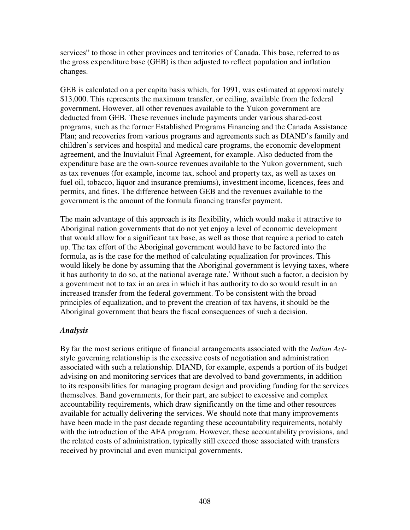services" to those in other provinces and territories of Canada. This base, referred to as the gross expenditure base (GEB) is then adjusted to reflect population and inflation changes.

GEB is calculated on a per capita basis which, for 1991, was estimated at approximately \$13,000. This represents the maximum transfer, or ceiling, available from the federal government. However, all other revenues available to the Yukon government are deducted from GEB. These revenues include payments under various shared-cost programs, such as the former Established Programs Financing and the Canada Assistance Plan; and recoveries from various programs and agreements such as DIAND's family and children's services and hospital and medical care programs, the economic development agreement, and the Inuvialuit Final Agreement, for example. Also deducted from the expenditure base are the own-source revenues available to the Yukon government, such as tax revenues (for example, income tax, school and property tax, as well as taxes on fuel oil, tobacco, liquor and insurance premiums), investment income, licences, fees and permits, and fines. The difference between GEB and the revenues available to the government is the amount of the formula financing transfer payment.

The main advantage of this approach is its flexibility, which would make it attractive to Aboriginal nation governments that do not yet enjoy a level of economic development that would allow for a significant tax base, as well as those that require a period to catch up. The tax effort of the Aboriginal government would have to be factored into the formula, as is the case for the method of calculating equalization for provinces. This would likely be done by assuming that the Aboriginal government is levying taxes, where it has authority to do so, at the national average rate. <sup>3</sup> Without such a factor, a decision by a government not to tax in an area in which it has authority to do so would result in an increased transfer from the federal government. To be consistent with the broad principles of equalization, and to prevent the creation of tax havens, it should be the Aboriginal government that bears the fiscal consequences of such a decision.

## *Analysis*

By far the most serious critique of financial arrangements associated with the *Indian Act*style governing relationship is the excessive costs of negotiation and administration associated with such a relationship. DIAND, for example, expends a portion of its budget advising on and monitoring services that are devolved to band governments, in addition to its responsibilities for managing program design and providing funding for the services themselves. Band governments, for their part, are subject to excessive and complex accountability requirements, which draw significantly on the time and other resources available for actually delivering the services. We should note that many improvements have been made in the past decade regarding these accountability requirements, notably with the introduction of the AFA program. However, these accountability provisions, and the related costs of administration, typically still exceed those associated with transfers received by provincial and even municipal governments.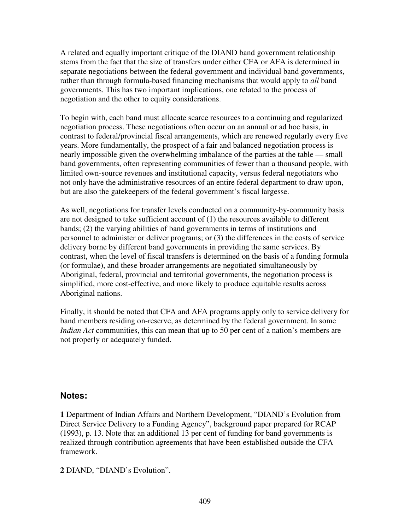A related and equally important critique of the DIAND band government relationship stems from the fact that the size of transfers under either CFA or AFA is determined in separate negotiations between the federal government and individual band governments, rather than through formula-based financing mechanisms that would apply to *all* band governments. This has two important implications, one related to the process of negotiation and the other to equity considerations.

To begin with, each band must allocate scarce resources to a continuing and regularized negotiation process. These negotiations often occur on an annual or ad hoc basis, in contrast to federal/provincial fiscal arrangements, which are renewed regularly every five years. More fundamentally, the prospect of a fair and balanced negotiation process is nearly impossible given the overwhelming imbalance of the parties at the table — small band governments, often representing communities of fewer than a thousand people, with limited own-source revenues and institutional capacity, versus federal negotiators who not only have the administrative resources of an entire federal department to draw upon, but are also the gatekeepers of the federal government's fiscal largesse.

As well, negotiations for transfer levels conducted on a community-by-community basis are not designed to take sufficient account of (1) the resources available to different bands; (2) the varying abilities of band governments in terms of institutions and personnel to administer or deliver programs; or (3) the differences in the costs of service delivery borne by different band governments in providing the same services. By contrast, when the level of fiscal transfers is determined on the basis of a funding formula (or formulae), and these broader arrangements are negotiated simultaneously by Aboriginal, federal, provincial and territorial governments, the negotiation process is simplified, more cost-effective, and more likely to produce equitable results across Aboriginal nations.

Finally, it should be noted that CFA and AFA programs apply only to service delivery for band members residing on-reserve, as determined by the federal government. In some *Indian Act* communities, this can mean that up to 50 per cent of a nation's members are not properly or adequately funded.

## **Notes:**

**1** Department of Indian Affairs and Northern Development, "DIAND's Evolution from Direct Service Delivery to a Funding Agency", background paper prepared for RCAP (1993), p. 13. Note that an additional 13 per cent of funding for band governments is realized through contribution agreements that have been established outside the CFA framework.

**2** DIAND, "DIAND's Evolution".